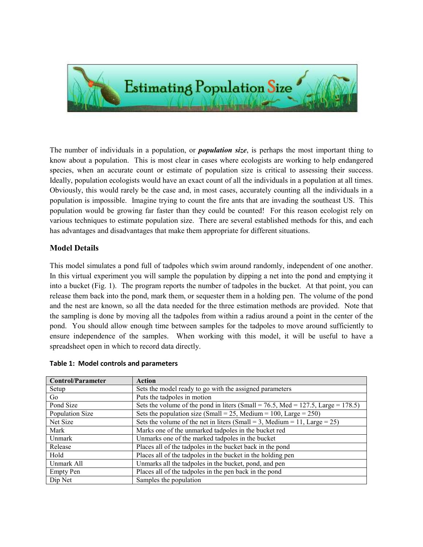

The number of individuals in a population, or *population size*, is perhaps the most important thing to know about a population. This is most clear in cases where ecologists are working to help endangered species, when an accurate count or estimate of population size is critical to assessing their success. Ideally, population ecologists would have an exact count of all the individuals in a population at all times. Obviously, this would rarely be the case and, in most cases, accurately counting all the individuals in a population is impossible. Imagine trying to count the fire ants that are invading the southeast US. This population would be growing far faster than they could be counted! For this reason ecologist rely on various techniques to estimate population size. There are several established methods for this, and each has advantages and disadvantages that make them appropriate for different situations.

## Model Details

This model simulates a pond full of tadpoles which swim around randomly, independent of one another. In this virtual experiment you will sample the population by dipping a net into the pond and emptying it into a bucket (Fig. 1). The program reports the number of tadpoles in the bucket. At that point, you can release them back into the pond, mark them, or sequester them in a holding pen. The volume of the pond and the nest are known, so all the data needed for the three estimation methods are provided. Note that the sampling is done by moving all the tadpoles from within a radius around a point in the center of the pond. You should allow enough time between samples for the tadpoles to move around sufficiently to ensure independence of the samples. When working with this model, it will be useful to have a spreadsheet open in which to record data directly.

| <b>Control/Parameter</b> | <b>Action</b>                                                                          |
|--------------------------|----------------------------------------------------------------------------------------|
| Setup                    | Sets the model ready to go with the assigned parameters                                |
| Go.                      | Puts the tadpoles in motion                                                            |
| Pond Size                | Sets the volume of the pond in liters (Small = $76.5$ , Med = $127.5$ , Large = 178.5) |
| Population Size          | Sets the population size (Small = 25, Medium = 100, Large = 250)                       |
| Net Size                 | Sets the volume of the net in liters (Small = 3, Medium = 11, Large = $25$ )           |
| Mark                     | Marks one of the unmarked tadpoles in the bucket red                                   |
| Unmark                   | Unmarks one of the marked tadpoles in the bucket                                       |
| Release                  | Places all of the tadpoles in the bucket back in the pond                              |
| Hold                     | Places all of the tadpoles in the bucket in the holding pen                            |
| Unmark All               | Unmarks all the tadpoles in the bucket, pond, and pen                                  |
| <b>Empty Pen</b>         | Places all of the tadpoles in the pen back in the pond                                 |
| Dip Net                  | Samples the population                                                                 |

## Table 1: Model controls and parameters